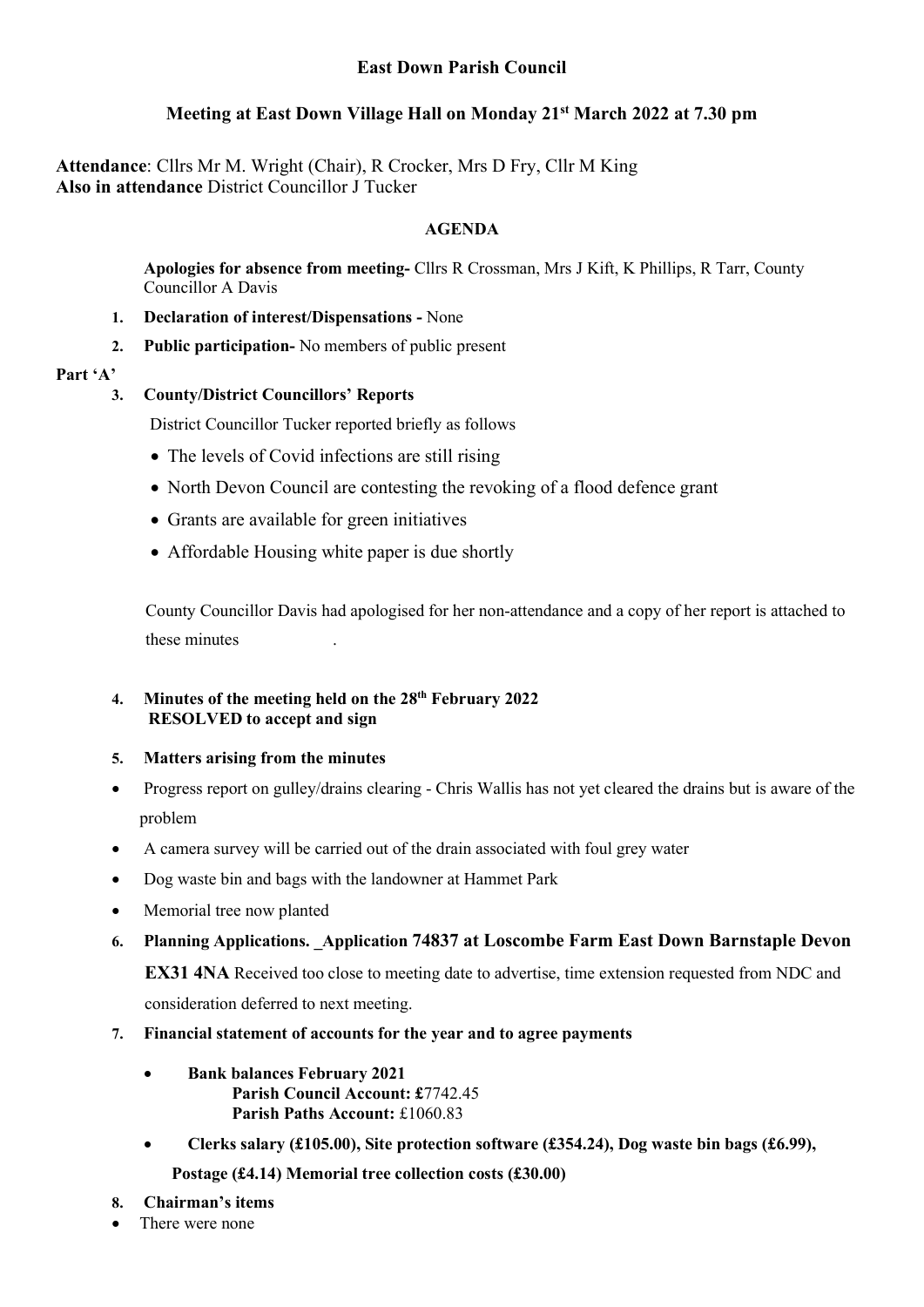## Meeting at East Down Village Hall on Monday 21st March 2022 at 7.30 pm

Attendance: Cllrs Mr M. Wright (Chair), R Crocker, Mrs D Fry, Cllr M King Also in attendance District Councillor J Tucker

## AGENDA

Apologies for absence from meeting- Cllrs R Crossman, Mrs J Kift, K Phillips, R Tarr, County Councillor A Davis

- 1. Declaration of interest/Dispensations None
- 2. Public participation- No members of public present

### Part 'A'

## 3. County/District Councillors' Reports

District Councillor Tucker reported briefly as follows

- The levels of Covid infections are still rising
- North Devon Council are contesting the revoking of a flood defence grant
- Grants are available for green initiatives
- Affordable Housing white paper is due shortly

 County Councillor Davis had apologised for her non-attendance and a copy of her report is attached to these minutes .

### 4. Minutes of the meeting held on the 28<sup>th</sup> February 2022 RESOLVED to accept and sign

## 5. Matters arising from the minutes

- Progress report on gulley/drains clearing Chris Wallis has not yet cleared the drains but is aware of the problem
- A camera survey will be carried out of the drain associated with foul grey water
- Dog waste bin and bags with the landowner at Hammet Park
- Memorial tree now planted
- 6. Planning Applications. Application 74837 at Loscombe Farm East Down Barnstaple Devon

EX31 4NA Received too close to meeting date to advertise, time extension requested from NDC and

consideration deferred to next meeting.

- 7. Financial statement of accounts for the year and to agree payments
	- Bank balances February 2021 Parish Council Account: £7742.45 Parish Paths Account: £1060.83
	- Clerks salary (£105.00), Site protection software (£354.24), Dog waste bin bags (£6.99), Postage (£4.14) Memorial tree collection costs (£30.00)
- 8. Chairman's items
- There were none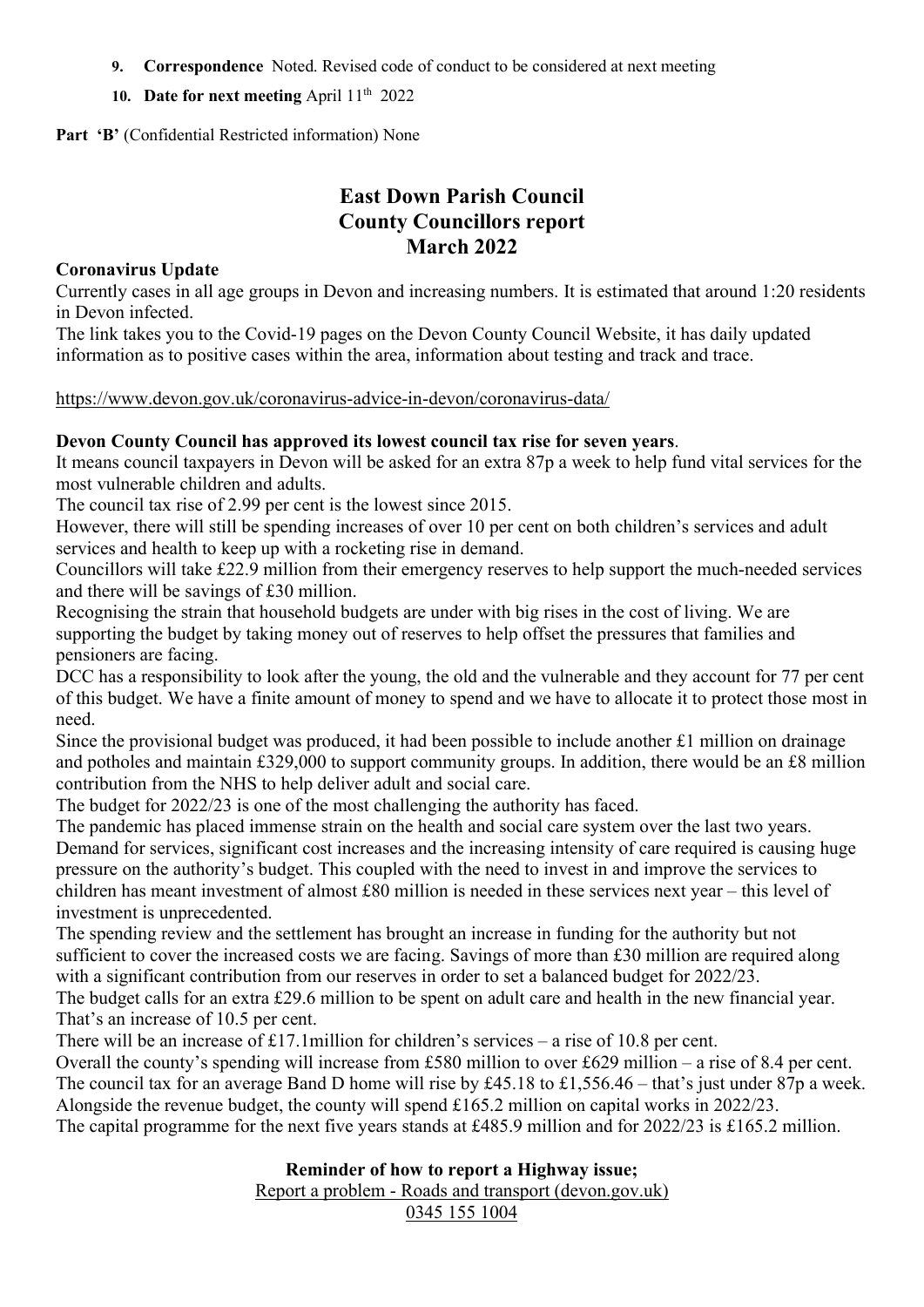- 9. Correspondence Noted. Revised code of conduct to be considered at next meeting
- 10. Date for next meeting April  $11<sup>th</sup>$  2022

Part 'B' (Confidential Restricted information) None

# East Down Parish Council County Councillors report March 2022

### Coronavirus Update

Currently cases in all age groups in Devon and increasing numbers. It is estimated that around 1:20 residents in Devon infected.

The link takes you to the Covid-19 pages on the Devon County Council Website, it has daily updated information as to positive cases within the area, information about testing and track and trace.

https://www.devon.gov.uk/coronavirus-advice-in-devon/coronavirus-data/

### Devon County Council has approved its lowest council tax rise for seven years.

It means council taxpayers in Devon will be asked for an extra 87p a week to help fund vital services for the most vulnerable children and adults.

The council tax rise of 2.99 per cent is the lowest since 2015.

However, there will still be spending increases of over 10 per cent on both children's services and adult services and health to keep up with a rocketing rise in demand.

Councillors will take £22.9 million from their emergency reserves to help support the much-needed services and there will be savings of £30 million.

Recognising the strain that household budgets are under with big rises in the cost of living. We are supporting the budget by taking money out of reserves to help offset the pressures that families and pensioners are facing.

DCC has a responsibility to look after the young, the old and the vulnerable and they account for 77 per cent of this budget. We have a finite amount of money to spend and we have to allocate it to protect those most in need.

Since the provisional budget was produced, it had been possible to include another £1 million on drainage and potholes and maintain £329,000 to support community groups. In addition, there would be an £8 million contribution from the NHS to help deliver adult and social care.

The budget for 2022/23 is one of the most challenging the authority has faced.

The pandemic has placed immense strain on the health and social care system over the last two years. Demand for services, significant cost increases and the increasing intensity of care required is causing huge pressure on the authority's budget. This coupled with the need to invest in and improve the services to children has meant investment of almost £80 million is needed in these services next year – this level of investment is unprecedented.

The spending review and the settlement has brought an increase in funding for the authority but not sufficient to cover the increased costs we are facing. Savings of more than £30 million are required along with a significant contribution from our reserves in order to set a balanced budget for 2022/23. The budget calls for an extra £29.6 million to be spent on adult care and health in the new financial year.

That's an increase of 10.5 per cent.

There will be an increase of £17.1million for children's services – a rise of 10.8 per cent.

Overall the county's spending will increase from £580 million to over £629 million – a rise of 8.4 per cent. The council tax for an average Band D home will rise by £45.18 to £1,556.46 – that's just under 87p a week. Alongside the revenue budget, the county will spend £165.2 million on capital works in 2022/23. The capital programme for the next five years stands at £485.9 million and for 2022/23 is £165.2 million.

### Reminder of how to report a Highway issue;

Report a problem - Roads and transport (devon.gov.uk)

### 0345 155 1004